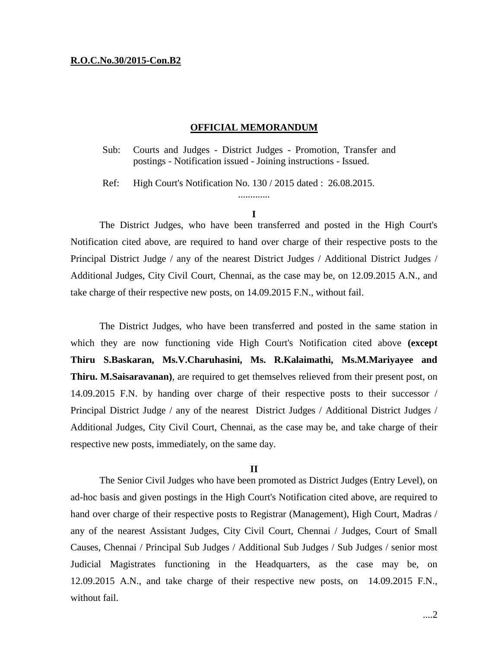## **R.O.C.No.30/2015-Con.B2**

# **OFFICIAL MEMORANDUM**

Sub: Courts and Judges - District Judges - Promotion, Transfer and postings - Notification issued - Joining instructions - Issued.

Ref: High Court's Notification No. 130 / 2015 dated : 26.08.2015.

#### **I**

.............

The District Judges, who have been transferred and posted in the High Court's Notification cited above, are required to hand over charge of their respective posts to the Principal District Judge / any of the nearest District Judges / Additional District Judges / Additional Judges, City Civil Court, Chennai, as the case may be, on 12.09.2015 A.N., and take charge of their respective new posts, on 14.09.2015 F.N., without fail.

The District Judges, who have been transferred and posted in the same station in which they are now functioning vide High Court's Notification cited above **(except Thiru S.Baskaran, Ms.V.Charuhasini, Ms. R.Kalaimathi, Ms.M.Mariyayee and Thiru. M.Saisaravanan)**, are required to get themselves relieved from their present post, on 14.09.2015 F.N. by handing over charge of their respective posts to their successor / Principal District Judge / any of the nearest District Judges / Additional District Judges / Additional Judges, City Civil Court, Chennai, as the case may be, and take charge of their respective new posts, immediately, on the same day.

#### **II**

The Senior Civil Judges who have been promoted as District Judges (Entry Level), on ad-hoc basis and given postings in the High Court's Notification cited above, are required to hand over charge of their respective posts to Registrar (Management), High Court, Madras / any of the nearest Assistant Judges, City Civil Court, Chennai / Judges, Court of Small Causes, Chennai / Principal Sub Judges / Additional Sub Judges / Sub Judges / senior most Judicial Magistrates functioning in the Headquarters, as the case may be, on 12.09.2015 A.N., and take charge of their respective new posts, on 14.09.2015 F.N., without fail.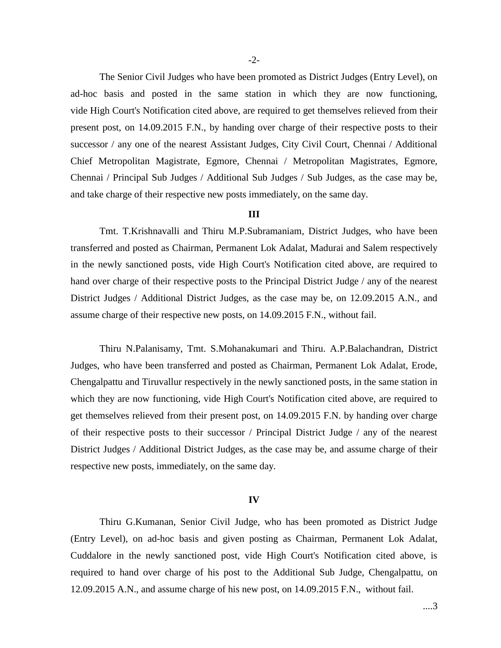The Senior Civil Judges who have been promoted as District Judges (Entry Level), on ad-hoc basis and posted in the same station in which they are now functioning, vide High Court's Notification cited above, are required to get themselves relieved from their present post, on 14.09.2015 F.N., by handing over charge of their respective posts to their successor / any one of the nearest Assistant Judges, City Civil Court, Chennai / Additional Chief Metropolitan Magistrate, Egmore, Chennai / Metropolitan Magistrates, Egmore, Chennai / Principal Sub Judges / Additional Sub Judges / Sub Judges, as the case may be, and take charge of their respective new posts immediately, on the same day.

### **III**

Tmt. T.Krishnavalli and Thiru M.P.Subramaniam, District Judges, who have been transferred and posted as Chairman, Permanent Lok Adalat, Madurai and Salem respectively in the newly sanctioned posts, vide High Court's Notification cited above, are required to hand over charge of their respective posts to the Principal District Judge / any of the nearest District Judges / Additional District Judges, as the case may be, on 12.09.2015 A.N., and assume charge of their respective new posts, on 14.09.2015 F.N., without fail.

Thiru N.Palanisamy, Tmt. S.Mohanakumari and Thiru. A.P.Balachandran, District Judges, who have been transferred and posted as Chairman, Permanent Lok Adalat, Erode, Chengalpattu and Tiruvallur respectively in the newly sanctioned posts, in the same station in which they are now functioning, vide High Court's Notification cited above, are required to get themselves relieved from their present post, on 14.09.2015 F.N. by handing over charge of their respective posts to their successor / Principal District Judge / any of the nearest District Judges / Additional District Judges, as the case may be, and assume charge of their respective new posts, immediately, on the same day.

# **IV**

Thiru G.Kumanan, Senior Civil Judge, who has been promoted as District Judge (Entry Level), on ad-hoc basis and given posting as Chairman, Permanent Lok Adalat, Cuddalore in the newly sanctioned post, vide High Court's Notification cited above, is required to hand over charge of his post to the Additional Sub Judge, Chengalpattu, on 12.09.2015 A.N., and assume charge of his new post, on 14.09.2015 F.N., without fail.